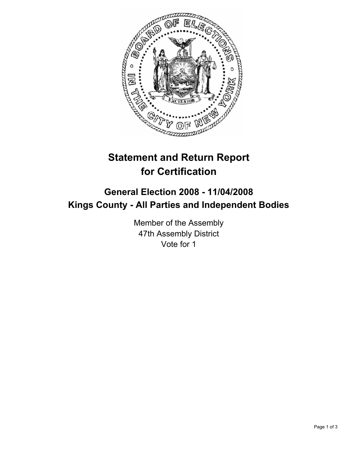

# **Statement and Return Report for Certification**

## **General Election 2008 - 11/04/2008 Kings County - All Parties and Independent Bodies**

Member of the Assembly 47th Assembly District Vote for 1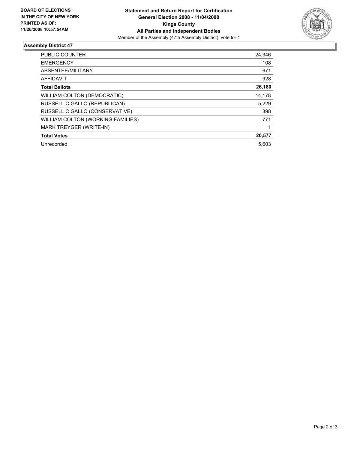

### **Assembly District 47**

| PUBLIC COUNTER                    | 24,346 |
|-----------------------------------|--------|
| <b>EMERGENCY</b>                  | 108    |
| ABSENTEE/MILITARY                 | 671    |
| <b>AFFIDAVIT</b>                  | 928    |
| <b>Total Ballots</b>              | 26,180 |
| WILLIAM COLTON (DEMOCRATIC)       | 14,178 |
| RUSSELL C GALLO (REPUBLICAN)      | 5,229  |
| RUSSELL C GALLO (CONSERVATIVE)    | 398    |
| WILLIAM COLTON (WORKING FAMILIES) | 771    |
| MARK TREYGER (WRITE-IN)           |        |
| <b>Total Votes</b>                | 20,577 |
| Unrecorded                        | 5.603  |